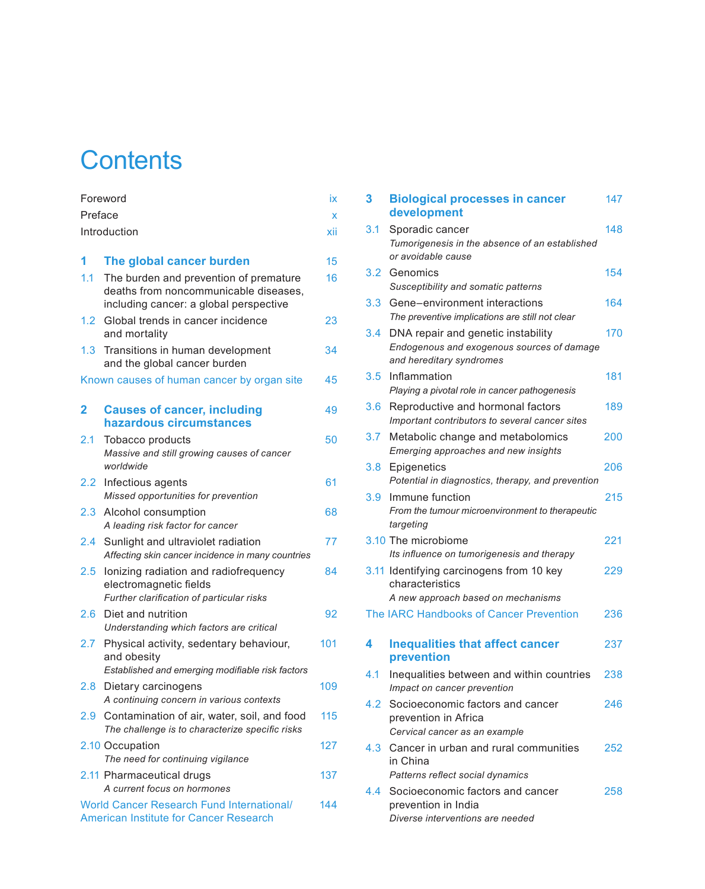## **Contents**

| Foreword         |                                                                                                                           | İХ  |
|------------------|---------------------------------------------------------------------------------------------------------------------------|-----|
| Preface          |                                                                                                                           |     |
|                  | Introduction                                                                                                              | xii |
|                  |                                                                                                                           |     |
| 1                | The global cancer burden                                                                                                  | 15  |
| 1.1              | The burden and prevention of premature<br>deaths from noncommunicable diseases,<br>including cancer: a global perspective | 16  |
| 1.2 <sub>1</sub> | Global trends in cancer incidence<br>and mortality                                                                        | 23  |
| 1.3 <sup>1</sup> | Transitions in human development<br>and the global cancer burden                                                          | 34  |
|                  | Known causes of human cancer by organ site                                                                                | 45  |
| 2                | <b>Causes of cancer, including</b><br>hazardous circumstances                                                             | 49  |
| 2.1              | Tobacco products<br>Massive and still growing causes of cancer<br>worldwide                                               | 50  |
|                  | 2.2 Infectious agents<br>Missed opportunities for prevention                                                              | 61  |
| 2.3              | Alcohol consumption<br>A leading risk factor for cancer                                                                   | 68  |
| 2.4              | Sunlight and ultraviolet radiation<br>Affecting skin cancer incidence in many countries                                   | 77  |
| $2.5^{\circ}$    | lonizing radiation and radiofrequency<br>electromagnetic fields<br>Further clarification of particular risks              | 84  |
| 2.6              | Diet and nutrition<br>Understanding which factors are critical                                                            | 92  |
| $2.7^{\circ}$    | Physical activity, sedentary behaviour,<br>and obesity<br>Established and emerging modifiable risk factors                | 101 |
| 2.8 <sup>°</sup> | Dietary carcinogens<br>A continuing concern in various contexts                                                           | 109 |
| 2.9              | Contamination of air, water, soil, and food<br>The challenge is to characterize specific risks                            | 115 |
|                  | 2.10 Occupation<br>The need for continuing vigilance                                                                      | 127 |
|                  | 2.11 Pharmaceutical drugs<br>A current focus on hormones                                                                  | 137 |
|                  | <b>World Cancer Research Fund International/</b><br>American Institute for Cancer Research                                | 144 |

| 3                | <b>Biological processes in cancer</b><br>development                                                         | 147 |
|------------------|--------------------------------------------------------------------------------------------------------------|-----|
| 3.1              | Sporadic cancer<br>Tumorigenesis in the absence of an established<br>or avoidable cause                      | 148 |
| 3.2              | Genomics<br>Susceptibility and somatic patterns                                                              | 154 |
| 3.3              | Gene-environment interactions<br>The preventive implications are still not clear                             | 164 |
| 3.4              | DNA repair and genetic instability<br>Endogenous and exogenous sources of damage<br>and hereditary syndromes | 170 |
| 3.5              | Inflammation<br>Playing a pivotal role in cancer pathogenesis                                                | 181 |
| 3.6              | Reproductive and hormonal factors<br>Important contributors to several cancer sites                          | 189 |
| 3.7              | Metabolic change and metabolomics<br>Emerging approaches and new insights                                    | 200 |
| 3.8 <sub>1</sub> | Epigenetics<br>Potential in diagnostics, therapy, and prevention                                             | 206 |
| 3.9              | Immune function<br>From the tumour microenvironment to therapeutic<br>targeting                              | 215 |
|                  | 3.10 The microbiome<br>Its influence on tumorigenesis and therapy                                            | 221 |
|                  | 3.11 Identifying carcinogens from 10 key<br>characteristics<br>A new approach based on mechanisms            | 229 |
|                  | The IARC Handbooks of Cancer Prevention                                                                      | 236 |
| 4                | <b>Inequalities that affect cancer</b><br>prevention                                                         | 237 |
| 4.1              | Inequalities between and within countries<br>Impact on cancer prevention                                     | 238 |
| 4.2              | Socioeconomic factors and cancer<br>prevention in Africa<br>Cervical cancer as an example                    | 246 |
| 4.3              | Cancer in urban and rural communities<br>in China<br>Patterns reflect social dynamics                        | 252 |
| 4.4              | Socioeconomic factors and cancer<br>prevention in India<br>Diverse interventions are needed                  | 258 |